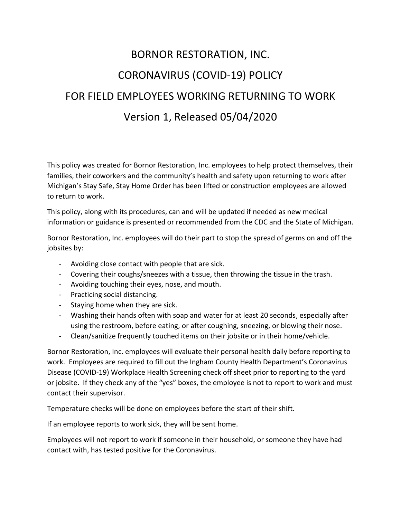## BORNOR RESTORATION, INC. CORONAVIRUS (COVID-19) POLICY FOR FIELD EMPLOYEES WORKING RETURNING TO WORK Version 1, Released 05/04/2020

This policy was created for Bornor Restoration, Inc. employees to help protect themselves, their families, their coworkers and the community's health and safety upon returning to work after Michigan's Stay Safe, Stay Home Order has been lifted or construction employees are allowed to return to work.

This policy, along with its procedures, can and will be updated if needed as new medical information or guidance is presented or recommended from the CDC and the State of Michigan.

Bornor Restoration, Inc. employees will do their part to stop the spread of germs on and off the jobsites by:

- Avoiding close contact with people that are sick.
- Covering their coughs/sneezes with a tissue, then throwing the tissue in the trash.
- Avoiding touching their eyes, nose, and mouth.
- Practicing social distancing.
- Staying home when they are sick.
- Washing their hands often with soap and water for at least 20 seconds, especially after using the restroom, before eating, or after coughing, sneezing, or blowing their nose.
- Clean/sanitize frequently touched items on their jobsite or in their home/vehicle.

Bornor Restoration, Inc. employees will evaluate their personal health daily before reporting to work. Employees are required to fill out the Ingham County Health Department's Coronavirus Disease (COVID-19) Workplace Health Screening check off sheet prior to reporting to the yard or jobsite. If they check any of the "yes" boxes, the employee is not to report to work and must contact their supervisor.

Temperature checks will be done on employees before the start of their shift.

If an employee reports to work sick, they will be sent home.

Employees will not report to work if someone in their household, or someone they have had contact with, has tested positive for the Coronavirus.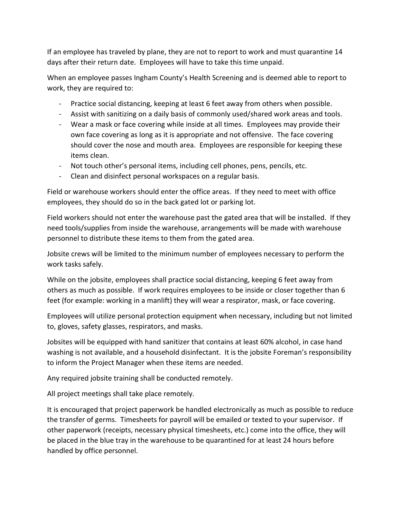If an employee has traveled by plane, they are not to report to work and must quarantine 14 days after their return date. Employees will have to take this time unpaid.

When an employee passes Ingham County's Health Screening and is deemed able to report to work, they are required to:

- Practice social distancing, keeping at least 6 feet away from others when possible.
- Assist with sanitizing on a daily basis of commonly used/shared work areas and tools.
- Wear a mask or face covering while inside at all times. Employees may provide their own face covering as long as it is appropriate and not offensive. The face covering should cover the nose and mouth area. Employees are responsible for keeping these items clean.
- Not touch other's personal items, including cell phones, pens, pencils, etc.
- Clean and disinfect personal workspaces on a regular basis.

Field or warehouse workers should enter the office areas. If they need to meet with office employees, they should do so in the back gated lot or parking lot.

Field workers should not enter the warehouse past the gated area that will be installed. If they need tools/supplies from inside the warehouse, arrangements will be made with warehouse personnel to distribute these items to them from the gated area.

Jobsite crews will be limited to the minimum number of employees necessary to perform the work tasks safely.

While on the jobsite, employees shall practice social distancing, keeping 6 feet away from others as much as possible. If work requires employees to be inside or closer together than 6 feet (for example: working in a manlift) they will wear a respirator, mask, or face covering.

Employees will utilize personal protection equipment when necessary, including but not limited to, gloves, safety glasses, respirators, and masks.

Jobsites will be equipped with hand sanitizer that contains at least 60% alcohol, in case hand washing is not available, and a household disinfectant. It is the jobsite Foreman's responsibility to inform the Project Manager when these items are needed.

Any required jobsite training shall be conducted remotely.

All project meetings shall take place remotely.

It is encouraged that project paperwork be handled electronically as much as possible to reduce the transfer of germs. Timesheets for payroll will be emailed or texted to your supervisor. If other paperwork (receipts, necessary physical timesheets, etc.) come into the office, they will be placed in the blue tray in the warehouse to be quarantined for at least 24 hours before handled by office personnel.